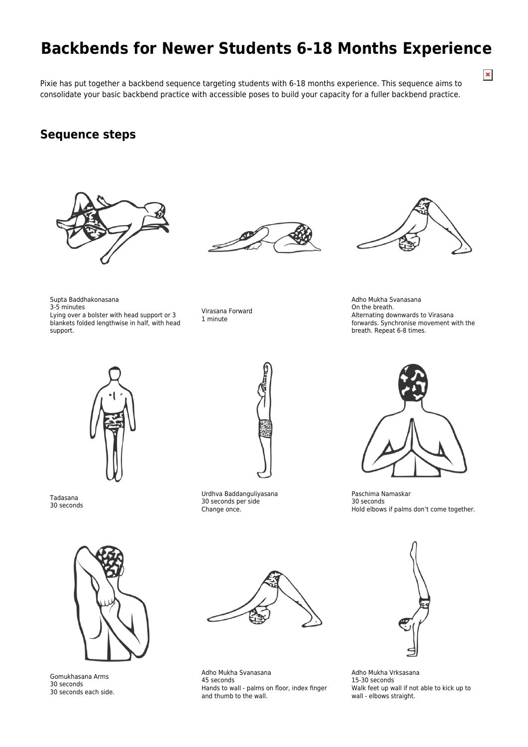## **Backbends for Newer Students 6-18 Months Experience**

 $\pmb{\times}$ 

Pixie has put together a backbend sequence targeting students with 6-18 months experience. This sequence aims to consolidate your basic backbend practice with accessible poses to build your capacity for a fuller backbend practice.

## **Sequence steps**

Supta Baddhakonasana

3-5 minutes

support.



Lying over a bolster with head support or 3 blankets folded lengthwise in half, with head





Adho Mukha Svanasana On the breath. Alternating downwards to Virasana forwards. Synchronise movement with the breath. Repeat 6-8 times.



Tadasana 30 seconds



Urdhva Baddanguliyasana 30 seconds per side Change once.

Virasana Forward 1 minute



Paschima Namaskar 30 seconds Hold elbows if palms don't come together.



Gomukhasana Arms 30 seconds 30 seconds each side.



Adho Mukha Svanasana 45 seconds Hands to wall - palms on floor, index finger and thumb to the wall.



Adho Mukha Vrksasana 15-30 seconds Walk feet up wall if not able to kick up to wall - elbows straight.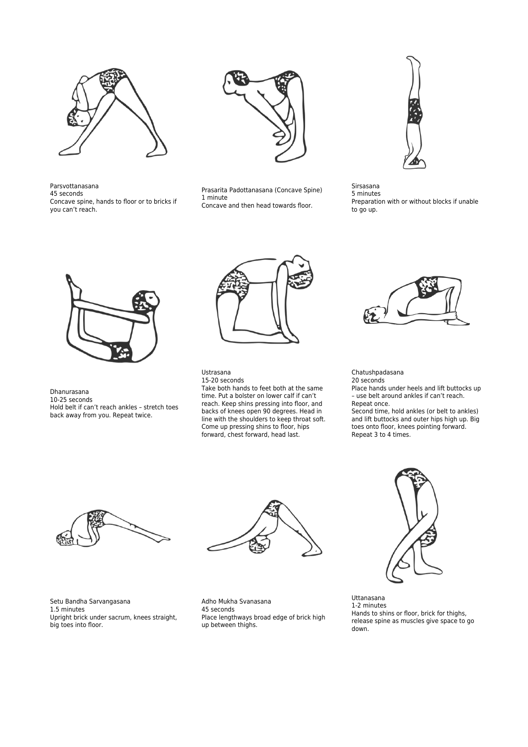

Parsvottanasana 45 seconds Concave spine, hands to floor or to bricks if you can't reach.



Prasarita Padottanasana (Concave Spine) 1 minute Concave and then head towards floor.



Sirsasana 5 minutes Preparation with or without blocks if unable to go up.



Dhanurasana 10-25 seconds Hold belt if can't reach ankles – stretch toes back away from you. Repeat twice.



## Ustrasana

15-20 seconds Take both hands to feet both at the same time. Put a bolster on lower calf if can't reach. Keep shins pressing into floor, and backs of knees open 90 degrees. Head in line with the shoulders to keep throat soft. Come up pressing shins to floor, hips forward, chest forward, head last.



## Chatushpadasana

20 seconds Place hands under heels and lift buttocks up – use belt around ankles if can't reach. Repeat once.

Second time, hold ankles (or belt to ankles) and lift buttocks and outer hips high up. Big toes onto floor, knees pointing forward. Repeat 3 to 4 times.





Setu Bandha Sarvangasana 1.5 minutes Upright brick under sacrum, knees straight, big toes into floor.

Adho Mukha Svanasana 45 seconds Place lengthways broad edge of brick high up between thighs.



Uttanasana 1-2 minutes Hands to shins or floor, brick for thighs, release spine as muscles give space to go down.